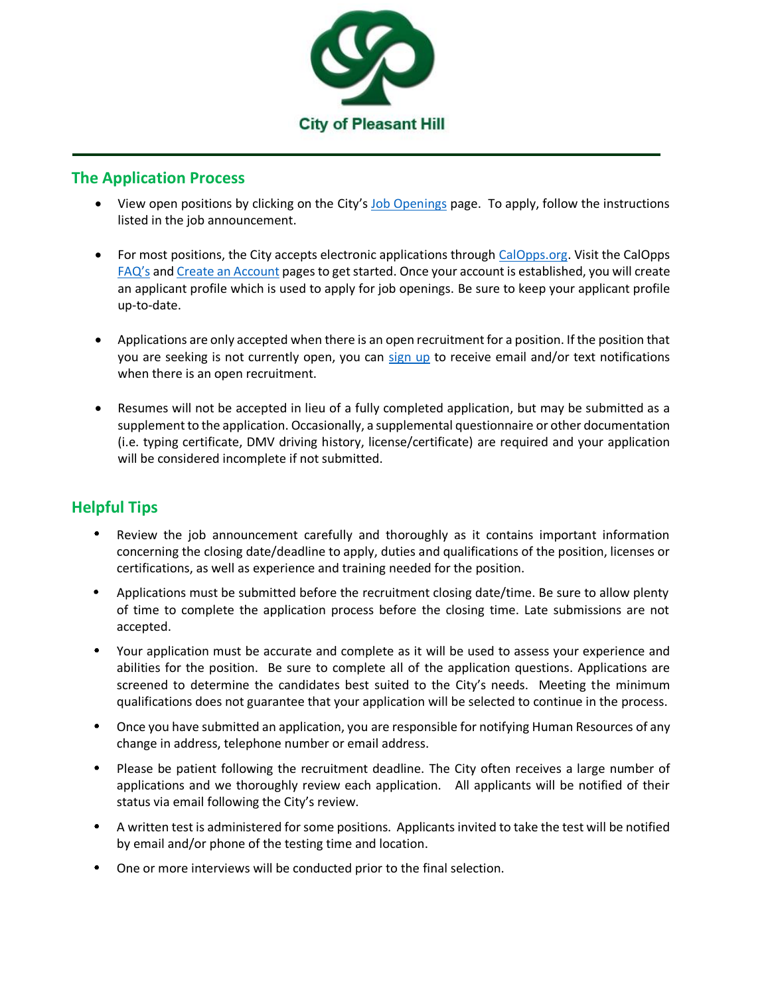

## **The Application Process**

- View open positions by clicking on the City's [Job Openings](https://www.ci.pleasant-hill.ca.us/jobs.aspx) page. To apply, follow the instructions listed in the job announcement.
- For most positions, the City accepts electronic applications through [CalOpps.org.](https://www.calopps.org/city-of-pleasant-hill) Visit the CalOpps [FAQ's](https://www.calopps.org/faq) an[d Create an Account](https://www.calopps.org/user/register) pages to get started. Once your account is established, you will create an applicant profile which is used to apply for job openings. Be sure to keep your applicant profile up-to-date.
- Applications are only accepted when there is an open recruitment for a position. If the position that you are seeking is not currently open, you can [sign up](https://www.ci.pleasant-hill.ca.us/list.aspx?CommunityJobs=False&Mode=Subscribe#cityJobs) to receive email and/or text notifications when there is an open recruitment.
- Resumes will not be accepted in lieu of a fully completed application, but may be submitted as a supplement to the application. Occasionally, a supplemental questionnaire or other documentation (i.e. typing certificate, DMV driving history, license/certificate) are required and your application will be considered incomplete if not submitted.

## **Helpful Tips**

- Review the job announcement carefully and thoroughly as it contains important information concerning the closing date/deadline to apply, duties and qualifications of the position, licenses or certifications, as well as experience and training needed for the position.
- Applications must be submitted before the recruitment closing date/time. Be sure to allow plenty of time to complete the application process before the closing time. Late submissions are not accepted.
- Your application must be accurate and complete as it will be used to assess your experience and abilities for the position. Be sure to complete all of the application questions. Applications are screened to determine the candidates best suited to the City's needs. Meeting the minimum qualifications does not guarantee that your application will be selected to continue in the process.
- Once you have submitted an application, you are responsible for notifying Human Resources of any change in address, telephone number or email address.
- Please be patient following the recruitment deadline. The City often receives a large number of applications and we thoroughly review each application. All applicants will be notified of their status via email following the City's review.
- A written test is administered for some positions. Applicants invited to take the test will be notified by email and/or phone of the testing time and location.
- One or more interviews will be conducted prior to the final selection.